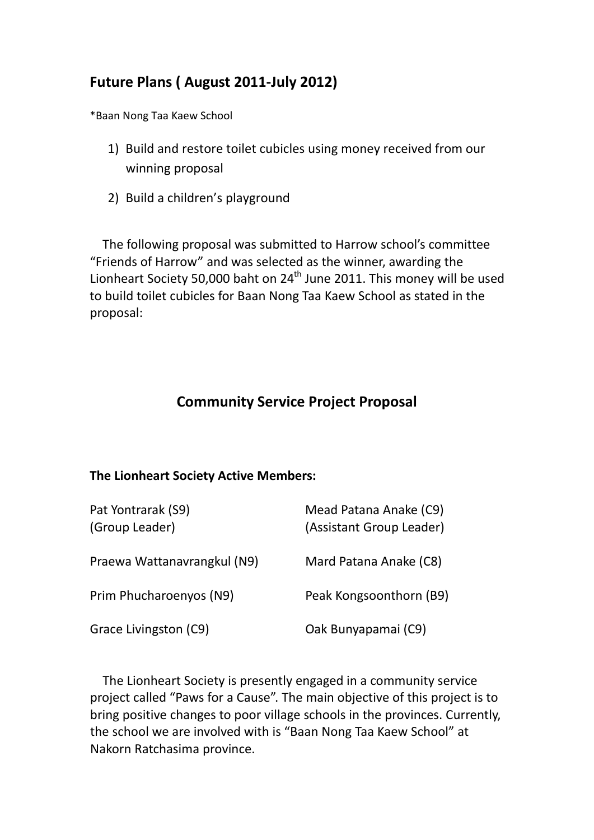## **Future Plans ( August 2011‐July 2012)**

\*Baan Nong Taa Kaew School

- 1) Build and restore toilet cubicles using money received from our winning proposal
- 2) Build a children's playground

 The following proposal was submitted to Harrow school's committee "Friends of Harrow" and was selected as the winner, awarding the Lionheart Society 50,000 baht on 24<sup>th</sup> June 2011. This money will be used to build toilet cubicles for Baan Nong Taa Kaew School as stated in the proposal:

## **Community Service Project Proposal**

## **The Lionheart Society Active Members:**

| Pat Yontrarak (S9)<br>(Group Leader) | Mead Patana Anake (C9)<br>(Assistant Group Leader) |
|--------------------------------------|----------------------------------------------------|
| Praewa Wattanavrangkul (N9)          | Mard Patana Anake (C8)                             |
| Prim Phucharoenyos (N9)              | Peak Kongsoonthorn (B9)                            |
| Grace Livingston (C9)                | Oak Bunyapamai (C9)                                |

 The Lionheart Society is presently engaged in a community service project called "Paws for a Cause". The main objective of this project is to bring positive changes to poor village schools in the provinces. Currently, the school we are involved with is "Baan Nong Taa Kaew School" at Nakorn Ratchasima province.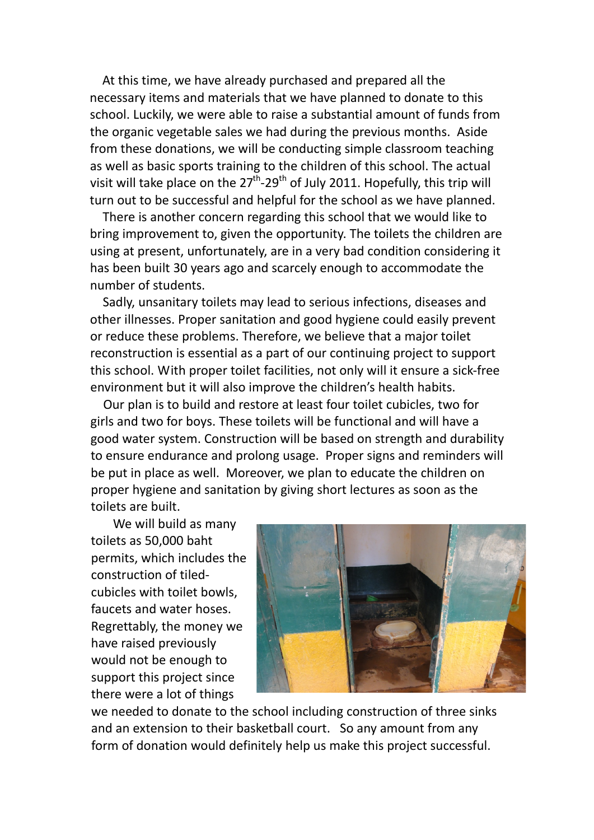At this time, we have already purchased and prepared all the necessary items and materials that we have planned to donate to this school. Luckily, we were able to raise a substantial amount of funds from the organic vegetable sales we had during the previous months. Aside from these donations, we will be conducting simple classroom teaching as well as basic sports training to the children of this school. The actual visit will take place on the  $27<sup>th</sup>$ -29<sup>th</sup> of July 2011. Hopefully, this trip will turn out to be successful and helpful for the school as we have planned.

 There is another concern regarding this school that we would like to bring improvement to, given the opportunity. The toilets the children are using at present, unfortunately, are in a very bad condition considering it has been built 30 years ago and scarcely enough to accommodate the number of students.

 Sadly, unsanitary toilets may lead to serious infections, diseases and other illnesses. Proper sanitation and good hygiene could easily prevent or reduce these problems. Therefore, we believe that a major toilet reconstruction is essential as a part of our continuing project to support this school. With proper toilet facilities, not only will it ensure a sick‐free environment but it will also improve the children's health habits.

 Our plan is to build and restore at least four toilet cubicles, two for girls and two for boys. These toilets will be functional and will have a good water system. Construction will be based on strength and durability to ensure endurance and prolong usage. Proper signs and reminders will be put in place as well. Moreover, we plan to educate the children on proper hygiene and sanitation by giving short lectures as soon as the toilets are built.

 We will build as many toilets as 50,000 baht permits, which includes the construction of tiled‐ cubicles with toilet bowls, faucets and water hoses. Regrettably, the money we have raised previously would not be enough to support this project since there were a lot of things



we needed to donate to the school including construction of three sinks and an extension to their basketball court. So any amount from any form of donation would definitely help us make this project successful.